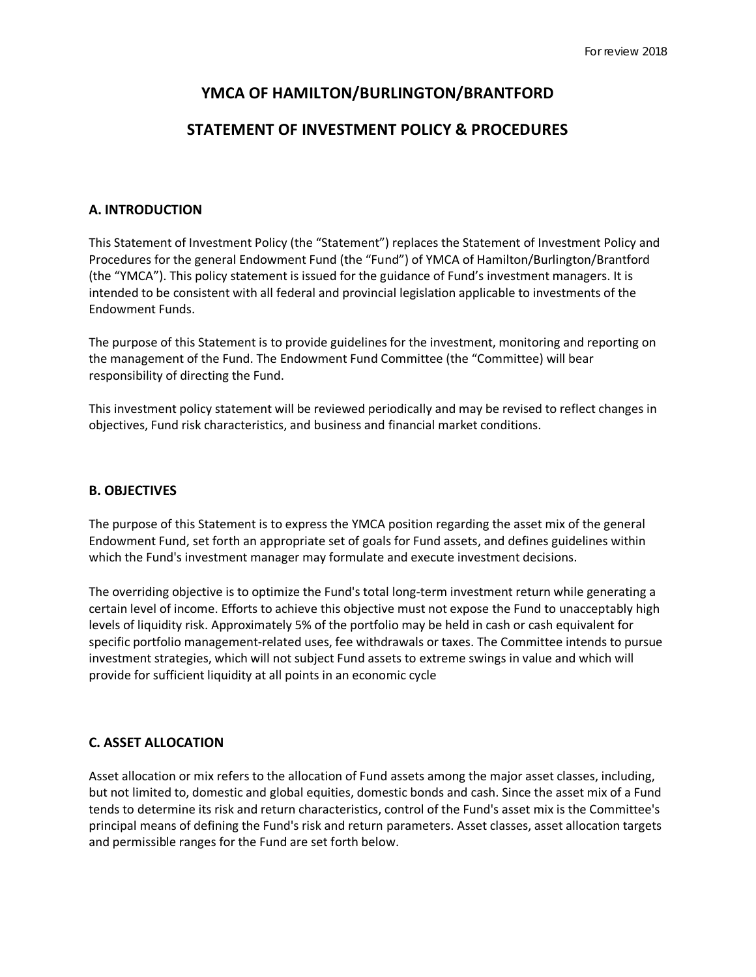# **YMCA OF HAMILTON/BURLINGTON/BRANTFORD**

# **STATEMENT OF INVESTMENT POLICY & PROCEDURES**

# **A. INTRODUCTION**

This Statement of Investment Policy (the "Statement") replaces the Statement of Investment Policy and Procedures for the general Endowment Fund (the "Fund") of YMCA of Hamilton/Burlington/Brantford (the "YMCA"). This policy statement is issued for the guidance of Fund's investment managers. It is intended to be consistent with all federal and provincial legislation applicable to investments of the Endowment Funds.

The purpose of this Statement is to provide guidelines for the investment, monitoring and reporting on the management of the Fund. The Endowment Fund Committee (the "Committee) will bear responsibility of directing the Fund.

This investment policy statement will be reviewed periodically and may be revised to reflect changes in objectives, Fund risk characteristics, and business and financial market conditions.

### **B. OBJECTIVES**

The purpose of this Statement is to express the YMCA position regarding the asset mix of the general Endowment Fund, set forth an appropriate set of goals for Fund assets, and defines guidelines within which the Fund's investment manager may formulate and execute investment decisions.

The overriding objective is to optimize the Fund's total long-term investment return while generating a certain level of income. Efforts to achieve this objective must not expose the Fund to unacceptably high levels of liquidity risk. Approximately 5% of the portfolio may be held in cash or cash equivalent for specific portfolio management-related uses, fee withdrawals or taxes. The Committee intends to pursue investment strategies, which will not subject Fund assets to extreme swings in value and which will provide for sufficient liquidity at all points in an economic cycle

# **C. ASSET ALLOCATION**

Asset allocation or mix refers to the allocation of Fund assets among the major asset classes, including, but not limited to, domestic and global equities, domestic bonds and cash. Since the asset mix of a Fund tends to determine its risk and return characteristics, control of the Fund's asset mix is the Committee's principal means of defining the Fund's risk and return parameters. Asset classes, asset allocation targets and permissible ranges for the Fund are set forth below.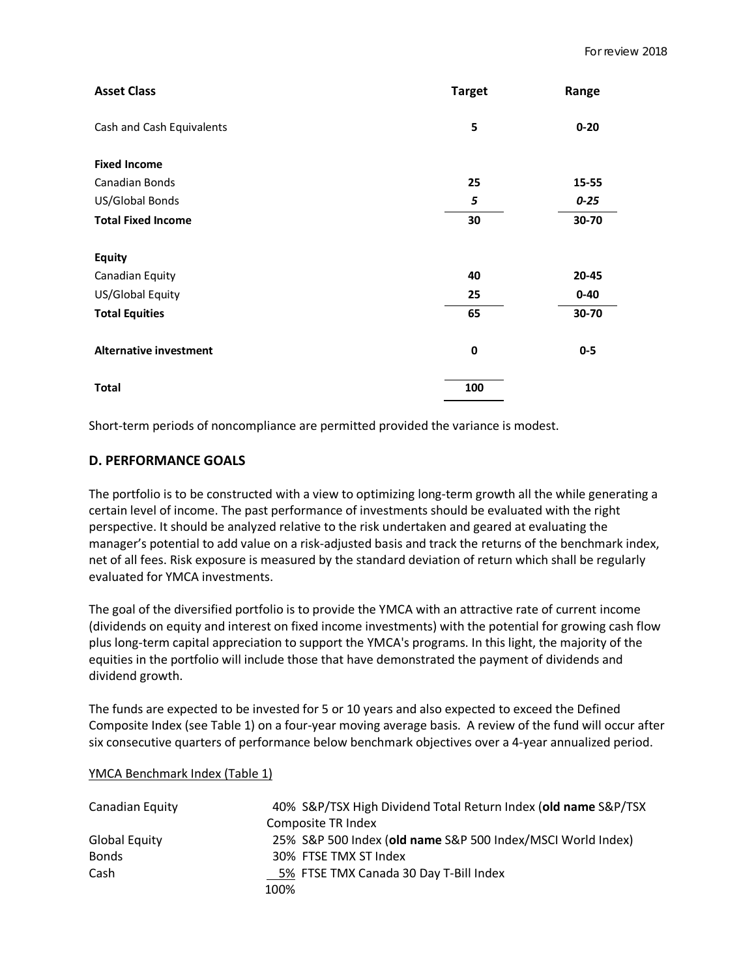| <b>Asset Class</b>            | <b>Target</b> | Range    |
|-------------------------------|---------------|----------|
| Cash and Cash Equivalents     | 5             | $0 - 20$ |
| <b>Fixed Income</b>           |               |          |
| <b>Canadian Bonds</b>         | 25            | 15-55    |
| US/Global Bonds               | 5             | $0 - 25$ |
| <b>Total Fixed Income</b>     | 30            | 30-70    |
| <b>Equity</b>                 |               |          |
| Canadian Equity               | 40            | 20-45    |
| US/Global Equity              | 25            | $0 - 40$ |
| <b>Total Equities</b>         | 65            | 30-70    |
| <b>Alternative investment</b> | 0             | $0-5$    |
| <b>Total</b>                  | 100           |          |

Short-term periods of noncompliance are permitted provided the variance is modest.

# **D. PERFORMANCE GOALS**

The portfolio is to be constructed with a view to optimizing long-term growth all the while generating a certain level of income. The past performance of investments should be evaluated with the right perspective. It should be analyzed relative to the risk undertaken and geared at evaluating the manager's potential to add value on a risk-adjusted basis and track the returns of the benchmark index, net of all fees. Risk exposure is measured by the standard deviation of return which shall be regularly evaluated for YMCA investments.

The goal of the diversified portfolio is to provide the YMCA with an attractive rate of current income (dividends on equity and interest on fixed income investments) with the potential for growing cash flow plus long-term capital appreciation to support the YMCA's programs. In this light, the majority of the equities in the portfolio will include those that have demonstrated the payment of dividends and dividend growth.

The funds are expected to be invested for 5 or 10 years and also expected to exceed the Defined Composite Index (see Table 1) on a four-year moving average basis. A review of the fund will occur after six consecutive quarters of performance below benchmark objectives over a 4-year annualized period.

#### YMCA Benchmark Index (Table 1)

| Canadian Equity      | 40% S&P/TSX High Dividend Total Return Index (old name S&P/TSX |
|----------------------|----------------------------------------------------------------|
|                      | Composite TR Index                                             |
| <b>Global Equity</b> | 25% S&P 500 Index (old name S&P 500 Index/MSCI World Index)    |
| <b>Bonds</b>         | 30% FTSE TMX ST Index                                          |
| Cash                 | 5% FTSE TMX Canada 30 Day T-Bill Index                         |
|                      | 100%                                                           |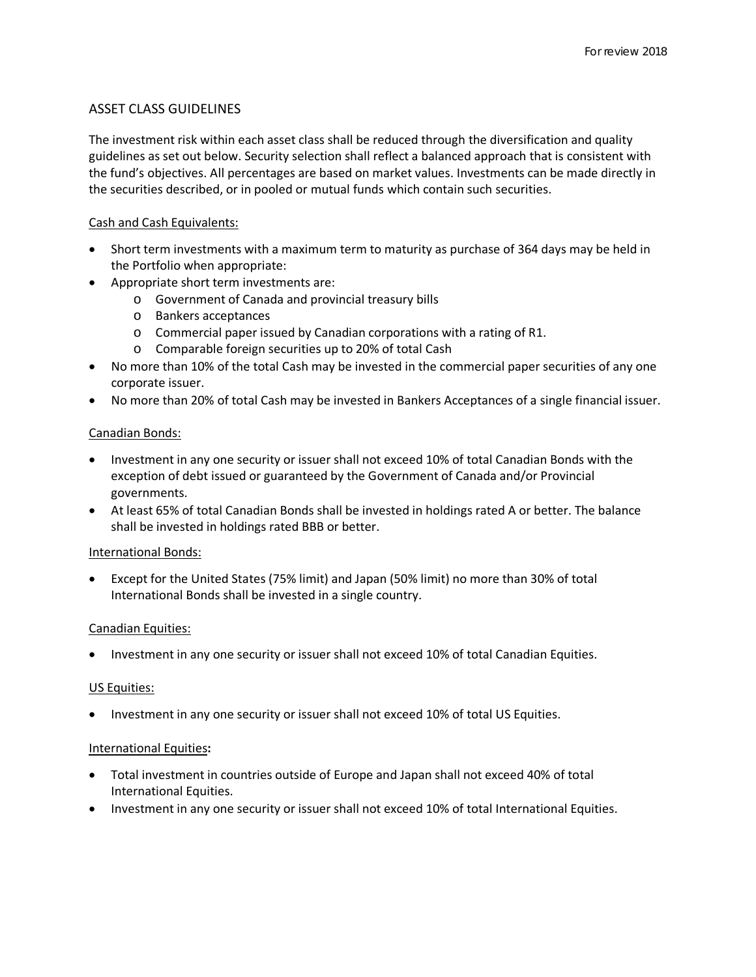# ASSET CLASS GUIDELINES

The investment risk within each asset class shall be reduced through the diversification and quality guidelines as set out below. Security selection shall reflect a balanced approach that is consistent with the fund's objectives. All percentages are based on market values. Investments can be made directly in the securities described, or in pooled or mutual funds which contain such securities.

# Cash and Cash Equivalents:

- Short term investments with a maximum term to maturity as purchase of 364 days may be held in the Portfolio when appropriate:
- Appropriate short term investments are:
	- o Government of Canada and provincial treasury bills
	- o Bankers acceptances
	- o Commercial paper issued by Canadian corporations with a rating of R1.
	- o Comparable foreign securities up to 20% of total Cash
- No more than 10% of the total Cash may be invested in the commercial paper securities of any one corporate issuer.
- No more than 20% of total Cash may be invested in Bankers Acceptances of a single financial issuer.

#### Canadian Bonds:

- Investment in any one security or issuer shall not exceed 10% of total Canadian Bonds with the exception of debt issued or guaranteed by the Government of Canada and/or Provincial governments.
- At least 65% of total Canadian Bonds shall be invested in holdings rated A or better. The balance shall be invested in holdings rated BBB or better.

# International Bonds:

• Except for the United States (75% limit) and Japan (50% limit) no more than 30% of total International Bonds shall be invested in a single country.

#### Canadian Equities:

• Investment in any one security or issuer shall not exceed 10% of total Canadian Equities.

#### US Equities:

• Investment in any one security or issuer shall not exceed 10% of total US Equities.

#### International Equities**:**

- Total investment in countries outside of Europe and Japan shall not exceed 40% of total International Equities.
- Investment in any one security or issuer shall not exceed 10% of total International Equities.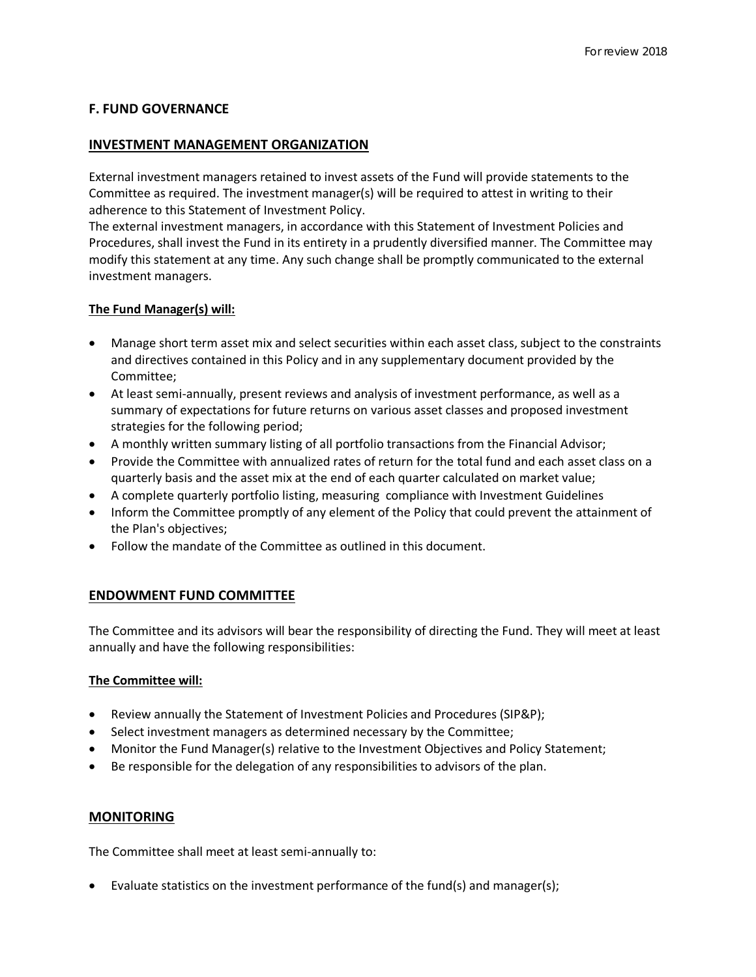# **F. FUND GOVERNANCE**

### **INVESTMENT MANAGEMENT ORGANIZATION**

External investment managers retained to invest assets of the Fund will provide statements to the Committee as required. The investment manager(s) will be required to attest in writing to their adherence to this Statement of Investment Policy.

The external investment managers, in accordance with this Statement of Investment Policies and Procedures, shall invest the Fund in its entirety in a prudently diversified manner. The Committee may modify this statement at any time. Any such change shall be promptly communicated to the external investment managers.

#### **The Fund Manager(s) will:**

- Manage short term asset mix and select securities within each asset class, subject to the constraints and directives contained in this Policy and in any supplementary document provided by the Committee;
- At least semi-annually, present reviews and analysis of investment performance, as well as a summary of expectations for future returns on various asset classes and proposed investment strategies for the following period;
- A monthly written summary listing of all portfolio transactions from the Financial Advisor;
- Provide the Committee with annualized rates of return for the total fund and each asset class on a quarterly basis and the asset mix at the end of each quarter calculated on market value;
- A complete quarterly portfolio listing, measuring compliance with Investment Guidelines
- Inform the Committee promptly of any element of the Policy that could prevent the attainment of the Plan's objectives;
- Follow the mandate of the Committee as outlined in this document.

# **ENDOWMENT FUND COMMITTEE**

The Committee and its advisors will bear the responsibility of directing the Fund. They will meet at least annually and have the following responsibilities:

# **The Committee will:**

- Review annually the Statement of Investment Policies and Procedures (SIP&P);
- Select investment managers as determined necessary by the Committee;
- Monitor the Fund Manager(s) relative to the Investment Objectives and Policy Statement;
- Be responsible for the delegation of any responsibilities to advisors of the plan.

# **MONITORING**

The Committee shall meet at least semi-annually to:

• Evaluate statistics on the investment performance of the fund(s) and manager(s);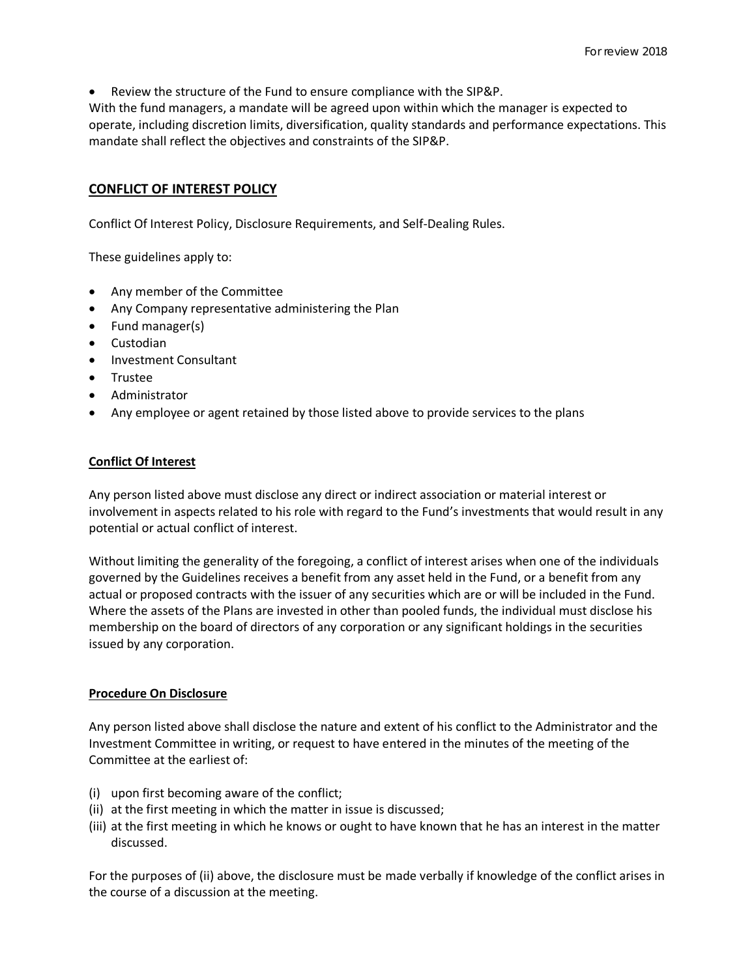• Review the structure of the Fund to ensure compliance with the SIP&P.

With the fund managers, a mandate will be agreed upon within which the manager is expected to operate, including discretion limits, diversification, quality standards and performance expectations. This mandate shall reflect the objectives and constraints of the SIP&P.

# **CONFLICT OF INTEREST POLICY**

Conflict Of Interest Policy, Disclosure Requirements, and Self-Dealing Rules.

These guidelines apply to:

- Any member of the Committee
- Any Company representative administering the Plan
- Fund manager(s)
- Custodian
- Investment Consultant
- Trustee
- Administrator
- Any employee or agent retained by those listed above to provide services to the plans

# **Conflict Of Interest**

Any person listed above must disclose any direct or indirect association or material interest or involvement in aspects related to his role with regard to the Fund's investments that would result in any potential or actual conflict of interest.

Without limiting the generality of the foregoing, a conflict of interest arises when one of the individuals governed by the Guidelines receives a benefit from any asset held in the Fund, or a benefit from any actual or proposed contracts with the issuer of any securities which are or will be included in the Fund. Where the assets of the Plans are invested in other than pooled funds, the individual must disclose his membership on the board of directors of any corporation or any significant holdings in the securities issued by any corporation.

# **Procedure On Disclosure**

Any person listed above shall disclose the nature and extent of his conflict to the Administrator and the Investment Committee in writing, or request to have entered in the minutes of the meeting of the Committee at the earliest of:

- (i) upon first becoming aware of the conflict;
- (ii) at the first meeting in which the matter in issue is discussed;
- (iii) at the first meeting in which he knows or ought to have known that he has an interest in the matter discussed.

For the purposes of (ii) above, the disclosure must be made verbally if knowledge of the conflict arises in the course of a discussion at the meeting.